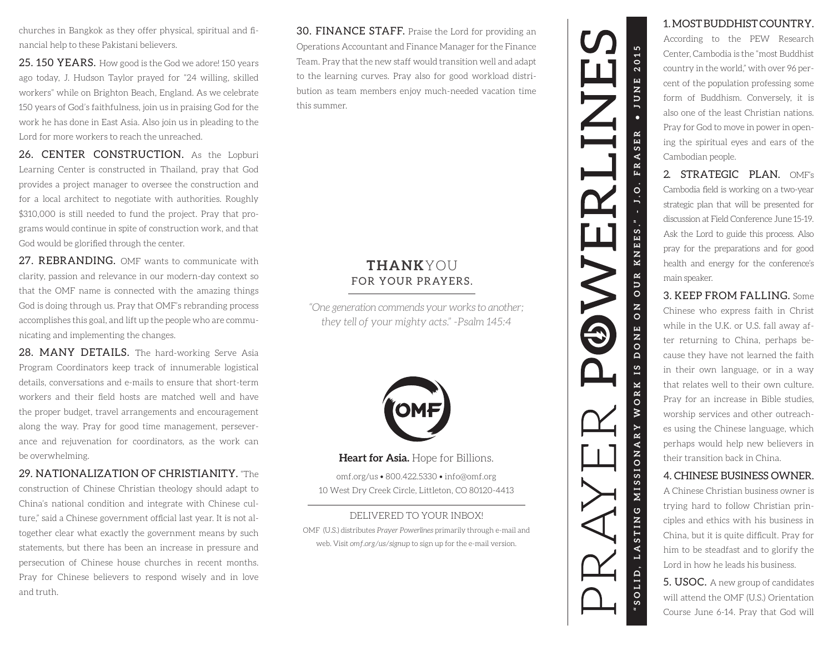churches in Bangkok as they offer physical, spiritual and financial help to these Pakistani believers.

**25. 150 YEARS.** How good is the God we adore! 150 years ago today, J. Hudson Taylor prayed for "24 willing, skilled workers" while on Brighton Beach, England. As we celebrate 150 years of God's faithfulness, join us in pr

**26. CENTER CONSTRUCTION.** As the Lopburi<br>Learning Center is constructed in Thailand, pray that God<br>provides a project manager to oversee the construction and<br>for a local architect to negotiate with authorities. Roughly<br>\$3 grams would continue in spite of construction work, and that God would be glorified through the center.

**27. REBRANDING.** OMF wants to communicate with clarity, passion and relevance in our modern-day context so that the OMF name is connected with the amazing things God is doing through us. Pray that OMF's rebranding process nicating and implementing the changes.

**28. MANY DETAILS.** The hard-working Serve Asia Program Coordinators keep track of innumerable logistical details, conversations and e-mails to ensure that short-term workers and their field hosts are matched well and have ance and rejuvenation for coordinators, as the work can be overwhelming.

29. NATIONALIZATION OF CHRISTIANITY. "The construction of Chinese Christian theology should adapt to China's national condition and integrate with Chinese culture," said a Chinese government official last year. It is not altogether clear what exactly the government means by such statements, but there has been an increase in pressure and persecution of Chinese house churches in recent months.<br>Pray for Chinese believers to respond wisely and i and truth.

0. ON E R A T ON C OM M E R A T ON C ON C ON THE R E R A N OU R M I G H T H E R A L M I G H T H E R A L M I G H T H E R A L M I G H T H E R A L M I G H T H L M I G H T H L M I G H T H L M I G H T L M I G H T L M I G H T L **30. FINANCE STAFF.** Praise the Lord for providing an Operations Accountant and Finance Manager for the Finance Team. Pray that the new staff would transition well and adapt to the learning curves. Pray also for good workl bution as team members enjoy much-needed vacation time this summer.

# **THANK**YOU FOR YOUR PRAYERS.

*"One generation commends your works to another; they tell of your mighty acts." -Psalm 145:4*



**Heart for Asia.** Hope for Billions.

omf.org/us • 800.422.5330 • info@omf.org 10 West Dry Creek Circle, Littleton, CO 80120-4413

### DELIVERED TO YOUR INBOX!

OMF (U.S.) distributes *Prayer Powerlines* primarily through e-mail and web. Visit *omf.org/us/signup* to sign up for the e-mail version.



## 1. MOST BUDDHIST COUNTRY.

According to the PEW Research<br>Center, Cambodia is the "most Buddhist<br>country in the world," with over 96 percent of the population professing some form of Buddhism. Conversely, it is also one of the least Christian nations. Pray for God to move in power in opening the spiritual eyes and ears of the Cambodian people.

2. **STRATEGIC PLAN.** OMF's Cambodia field is working on a two-year strategic plan that will be presented for discussion at Field Conference June 15-19. Ask the Lord to guide this process. Also pray for the preparations and for good health and energy for the conference's main speaker.

## 3. KEEP FROM FALLING. Some

Chinese who express faith in Christ while in the U.K. or U.S. fall away after returning to China, perhaps because they have not learned the faith in their own language, or in a way that relates well to their own culture. Pray for an increase in Bible studies, worship services and other outreaches using the Chinese language, which perhaps would help new believers in their transition back in China.

### 4. CHINESE BUSINESS OWNER.

A Chinese Christian business owner is trying hard to follow Christian principles and ethics with his business in China, but it is quite difficult. Pray for him to be steadfast and to glorify the Lord in how he leads his business.

5. USOC. A new group of candidates will attend the OMF (U.S.) Orientation Course June 6-14. Pray that God will